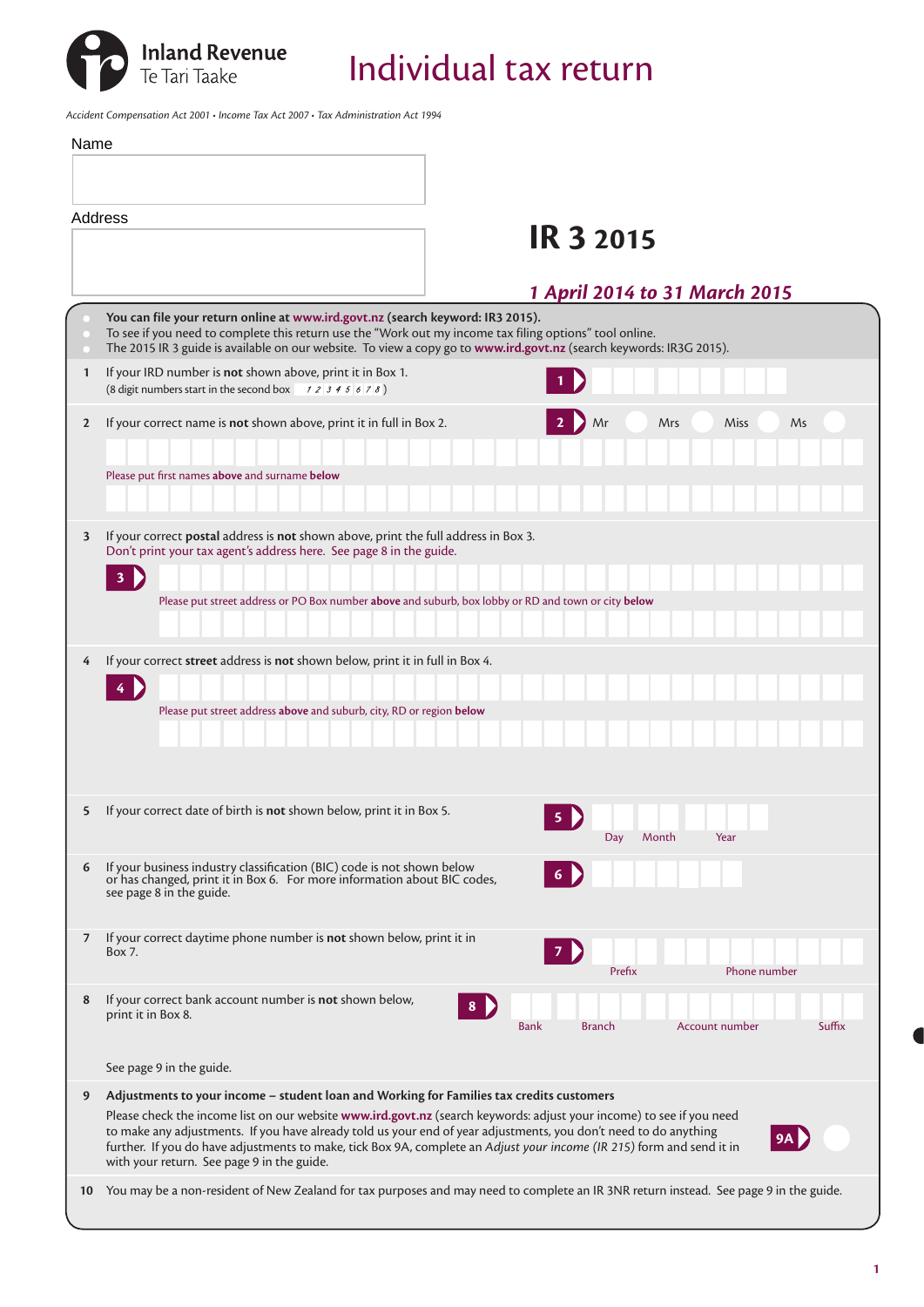

*Accident Compensation Act 2001 • Income Tax Act 2007 • Tax Administration Act 1994*

| Name         |                                                                                                                                                                                                                                                                                                                                                                                                                                                                                                             |
|--------------|-------------------------------------------------------------------------------------------------------------------------------------------------------------------------------------------------------------------------------------------------------------------------------------------------------------------------------------------------------------------------------------------------------------------------------------------------------------------------------------------------------------|
|              |                                                                                                                                                                                                                                                                                                                                                                                                                                                                                                             |
|              | Address<br><b>IR 3 2015</b>                                                                                                                                                                                                                                                                                                                                                                                                                                                                                 |
|              | 1 April 2014 to 31 March 2015                                                                                                                                                                                                                                                                                                                                                                                                                                                                               |
|              | You can file your return online at www.ird.govt.nz (search keyword: IR3 2015).<br>To see if you need to complete this return use the "Work out my income tax filing options" tool online.<br>The 2015 IR 3 guide is available on our website. To view a copy go to www.ird.govt.nz (search keywords: IR3G 2015).                                                                                                                                                                                            |
| 1            | If your IRD number is not shown above, print it in Box 1.<br>(8 digit numbers start in the second box $\begin{array}{c} 7 & 2 \\ 3 & 4 \\ 5 & 6 \\ 7 & 8 \end{array}$ )                                                                                                                                                                                                                                                                                                                                     |
| $\mathbf{2}$ | If your correct name is not shown above, print it in full in Box 2.<br>Mrs<br>Miss<br>Mr<br>Ms                                                                                                                                                                                                                                                                                                                                                                                                              |
|              | Please put first names above and surname below                                                                                                                                                                                                                                                                                                                                                                                                                                                              |
| 3            | If your correct <b>postal</b> address is <b>not</b> shown above, print the full address in Box 3.<br>Don't print your tax agent's address here. See page 8 in the guide.                                                                                                                                                                                                                                                                                                                                    |
|              | 3 <sup>7</sup><br>Please put street address or PO Box number above and suburb, box lobby or RD and town or city below                                                                                                                                                                                                                                                                                                                                                                                       |
| 4            | If your correct street address is not shown below, print it in full in Box 4.<br>4 D<br>Please put street address above and suburb, city, RD or region below                                                                                                                                                                                                                                                                                                                                                |
| 5            | If your correct date of birth is not shown below, print it in Box 5.<br>5<br>Year<br>Month<br>Day                                                                                                                                                                                                                                                                                                                                                                                                           |
| 6            | If your business industry classification (BIC) code is not shown below<br>or has changed, print it in Box 6. For more information about BIC codes,<br>see page 8 in the guide.                                                                                                                                                                                                                                                                                                                              |
| 7            | If your correct daytime phone number is not shown below, print it in<br>Box 7.<br>$\overline{7}$<br>Phone number<br>Prefix                                                                                                                                                                                                                                                                                                                                                                                  |
| 8            | If your correct bank account number is not shown below,<br>8 D<br>print it in Box 8.<br><b>Branch</b><br><b>Account number</b><br>Suffix<br><b>Bank</b>                                                                                                                                                                                                                                                                                                                                                     |
|              | See page 9 in the guide.                                                                                                                                                                                                                                                                                                                                                                                                                                                                                    |
| 9            | Adjustments to your income - student loan and Working for Families tax credits customers<br>Please check the income list on our website www.ird.govt.nz (search keywords: adjust your income) to see if you need<br>to make any adjustments. If you have already told us your end of year adjustments, you don't need to do anything<br>further. If you do have adjustments to make, tick Box 9A, complete an Adjust your income (IR 215) form and send it in<br>with your return. See page 9 in the guide. |
| 10           | You may be a non-resident of New Zealand for tax purposes and may need to complete an IR 3NR return instead. See page 9 in the guide.                                                                                                                                                                                                                                                                                                                                                                       |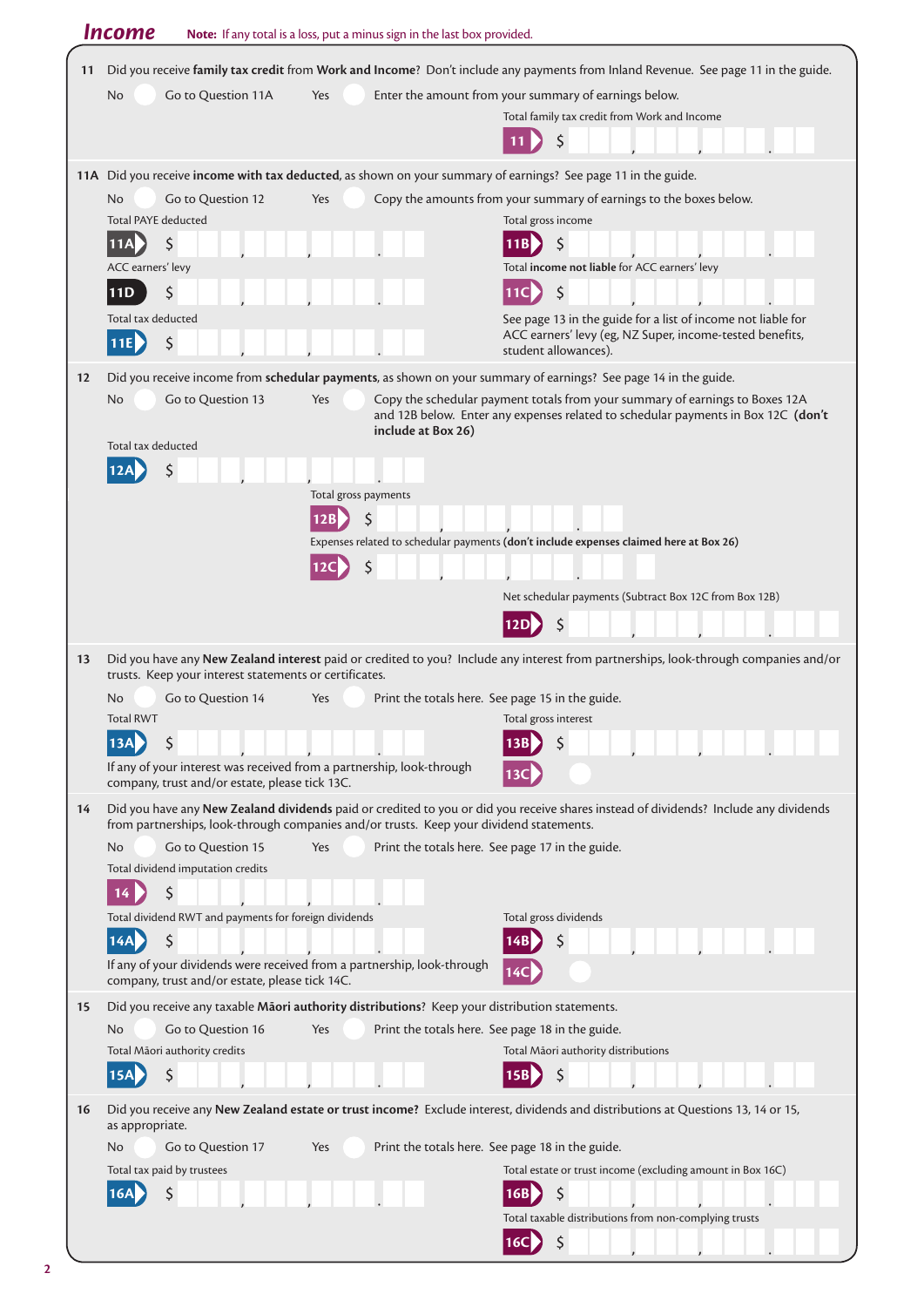| Income<br>Note: If any total is a loss, put a minus sign in the last box provided.                                                      |                                                                                                                                |                           |                                                                                                                                                                                                                  |
|-----------------------------------------------------------------------------------------------------------------------------------------|--------------------------------------------------------------------------------------------------------------------------------|---------------------------|------------------------------------------------------------------------------------------------------------------------------------------------------------------------------------------------------------------|
| Did you receive family tax credit from Work and Income? Don't include any payments from Inland Revenue. See page 11 in the guide.<br>11 |                                                                                                                                |                           |                                                                                                                                                                                                                  |
|                                                                                                                                         | No<br>Go to Question 11A                                                                                                       | Yes                       | Enter the amount from your summary of earnings below.                                                                                                                                                            |
|                                                                                                                                         |                                                                                                                                |                           | Total family tax credit from Work and Income                                                                                                                                                                     |
|                                                                                                                                         |                                                                                                                                |                           | \$                                                                                                                                                                                                               |
|                                                                                                                                         |                                                                                                                                |                           | 11A Did you receive income with tax deducted, as shown on your summary of earnings? See page 11 in the guide.                                                                                                    |
|                                                                                                                                         | Go to Question 12<br>No                                                                                                        | Yes                       | Copy the amounts from your summary of earnings to the boxes below.                                                                                                                                               |
|                                                                                                                                         | <b>Total PAYE deducted</b>                                                                                                     |                           | Total gross income                                                                                                                                                                                               |
|                                                                                                                                         | \$<br>11AL                                                                                                                     |                           | \$                                                                                                                                                                                                               |
|                                                                                                                                         | ACC earners' levy                                                                                                              |                           | Total income not liable for ACC earners' levy                                                                                                                                                                    |
|                                                                                                                                         | Ś<br>11D                                                                                                                       |                           | \$<br>[11C                                                                                                                                                                                                       |
|                                                                                                                                         | Total tax deducted                                                                                                             |                           | See page 13 in the guide for a list of income not liable for<br>ACC earners' levy (eg, NZ Super, income-tested benefits,                                                                                         |
|                                                                                                                                         | \$<br>11E                                                                                                                      |                           | student allowances).                                                                                                                                                                                             |
| 12                                                                                                                                      |                                                                                                                                |                           | Did you receive income from schedular payments, as shown on your summary of earnings? See page 14 in the guide.                                                                                                  |
|                                                                                                                                         | Go to Question 13<br>No                                                                                                        | Yes<br>include at Box 26) | Copy the schedular payment totals from your summary of earnings to Boxes 12A<br>and 12B below. Enter any expenses related to schedular payments in Box 12C (don't                                                |
|                                                                                                                                         | Total tax deducted                                                                                                             |                           |                                                                                                                                                                                                                  |
|                                                                                                                                         |                                                                                                                                | Total gross payments      |                                                                                                                                                                                                                  |
|                                                                                                                                         |                                                                                                                                | 12B                       |                                                                                                                                                                                                                  |
|                                                                                                                                         |                                                                                                                                |                           | Expenses related to schedular payments (don't include expenses claimed here at Box 26)                                                                                                                           |
|                                                                                                                                         |                                                                                                                                | Ś<br>12C                  |                                                                                                                                                                                                                  |
|                                                                                                                                         |                                                                                                                                |                           | Net schedular payments (Subtract Box 12C from Box 12B)                                                                                                                                                           |
|                                                                                                                                         |                                                                                                                                |                           | S                                                                                                                                                                                                                |
| 13                                                                                                                                      | trusts. Keep your interest statements or certificates.<br>Go to Question 14<br>No.<br><b>Total RWT</b>                         | Yes                       | Did you have any New Zealand interest paid or credited to you? Include any interest from partnerships, look-through companies and/or<br>Print the totals here. See page 15 in the guide.<br>Total gross interest |
|                                                                                                                                         | 13A<br>\$                                                                                                                      |                           |                                                                                                                                                                                                                  |
|                                                                                                                                         | If any of your interest was received from a partnership, look-through<br>company, trust and/or estate, please tick 13C.        |                           |                                                                                                                                                                                                                  |
| 14                                                                                                                                      |                                                                                                                                |                           | Did you have any New Zealand dividends paid or credited to you or did you receive shares instead of dividends? Include any dividends                                                                             |
|                                                                                                                                         | from partnerships, look-through companies and/or trusts. Keep your dividend statements.<br>Go to Question 15<br>N <sub>o</sub> | Yes                       | Print the totals here. See page 17 in the guide.                                                                                                                                                                 |
|                                                                                                                                         | Total dividend imputation credits                                                                                              |                           |                                                                                                                                                                                                                  |
|                                                                                                                                         | \$                                                                                                                             |                           |                                                                                                                                                                                                                  |
|                                                                                                                                         | Total dividend RWT and payments for foreign dividends                                                                          |                           | Total gross dividends                                                                                                                                                                                            |
|                                                                                                                                         | 14A<br>$\zeta$                                                                                                                 |                           |                                                                                                                                                                                                                  |
|                                                                                                                                         | If any of your dividends were received from a partnership, look-through<br>company, trust and/or estate, please tick 14C.      |                           | 14C                                                                                                                                                                                                              |
| 15                                                                                                                                      | Did you receive any taxable Maori authority distributions? Keep your distribution statements.                                  |                           |                                                                                                                                                                                                                  |
|                                                                                                                                         | Go to Question 16<br>No                                                                                                        | Yes                       | Print the totals here. See page 18 in the guide.                                                                                                                                                                 |
|                                                                                                                                         | Total Māori authority credits                                                                                                  |                           | Total Māori authority distributions                                                                                                                                                                              |
|                                                                                                                                         | \$<br>15A                                                                                                                      |                           |                                                                                                                                                                                                                  |
| 16                                                                                                                                      | as appropriate.                                                                                                                |                           | Did you receive any New Zealand estate or trust income? Exclude interest, dividends and distributions at Questions 13, 14 or 15,                                                                                 |
|                                                                                                                                         | No<br>Go to Question 17                                                                                                        | Yes                       | Print the totals here. See page 18 in the guide.                                                                                                                                                                 |
|                                                                                                                                         | Total tax paid by trustees<br>Ś                                                                                                |                           | Total estate or trust income (excluding amount in Box 16C)<br>$\zeta$<br>16B                                                                                                                                     |
|                                                                                                                                         |                                                                                                                                |                           | Total taxable distributions from non-complying trusts                                                                                                                                                            |
|                                                                                                                                         |                                                                                                                                |                           | \$<br>16C <b>D</b>                                                                                                                                                                                               |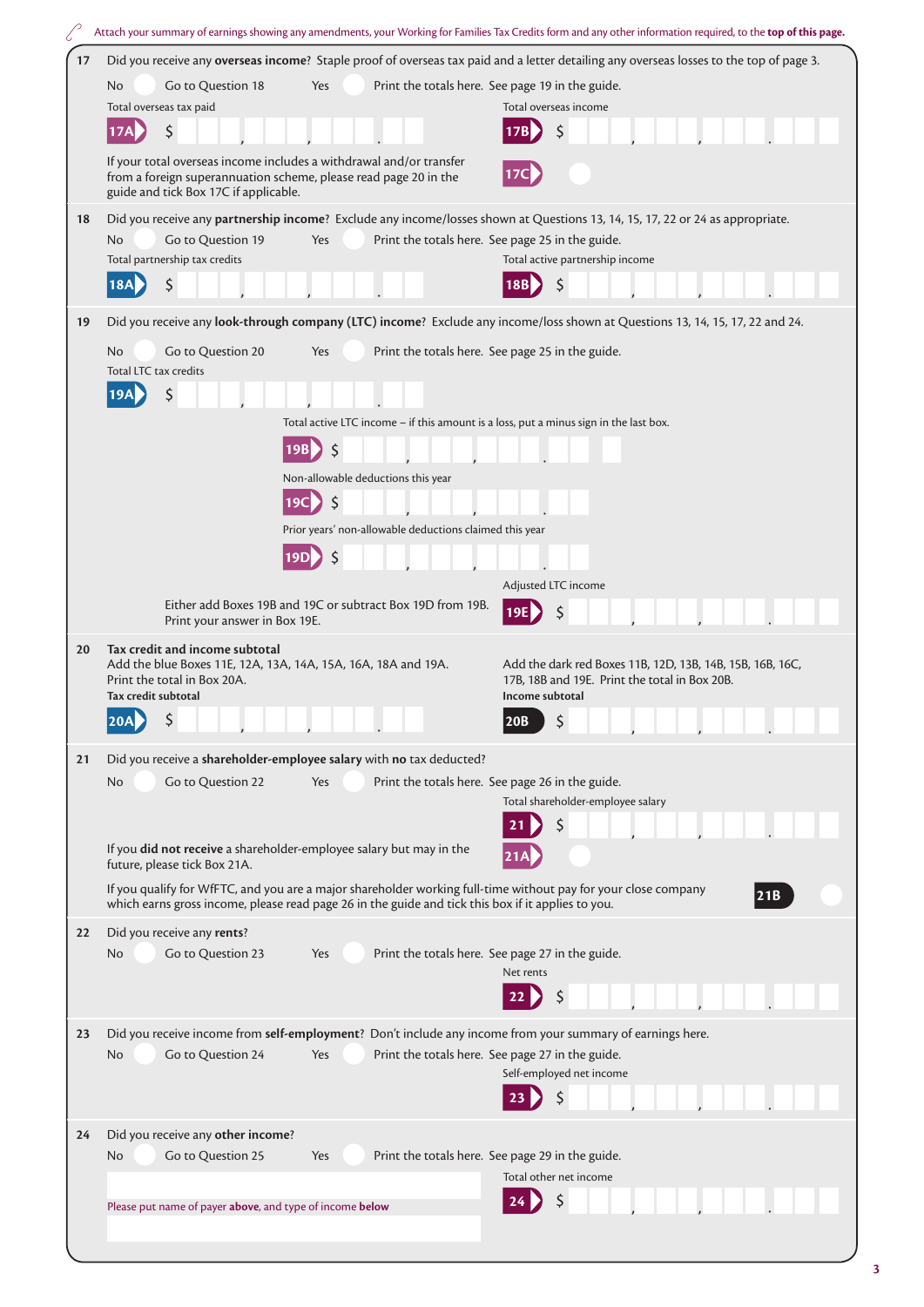|    | Attach your summary of earnings showing any amendments, your Working for Families Tax Credits form and any other information required, to the top of this page.                                            |  |  |
|----|------------------------------------------------------------------------------------------------------------------------------------------------------------------------------------------------------------|--|--|
| 17 | Did you receive any overseas income? Staple proof of overseas tax paid and a letter detailing any overseas losses to the top of page 3.                                                                    |  |  |
|    | Go to Question 18<br>Print the totals here. See page 19 in the guide.<br>No<br>Yes                                                                                                                         |  |  |
|    | Total overseas tax paid<br>Total overseas income                                                                                                                                                           |  |  |
|    | \$<br>\$                                                                                                                                                                                                   |  |  |
|    | If your total overseas income includes a withdrawal and/or transfer                                                                                                                                        |  |  |
|    | 17C<br>from a foreign superannuation scheme, please read page 20 in the                                                                                                                                    |  |  |
|    | guide and tick Box 17C if applicable.                                                                                                                                                                      |  |  |
| 18 | Did you receive any partnership income? Exclude any income/losses shown at Questions 13, 14, 15, 17, 22 or 24 as appropriate.                                                                              |  |  |
|    | Go to Question 19<br>Print the totals here. See page 25 in the guide.<br>No<br>Yes<br>Total partnership tax credits<br>Total active partnership income                                                     |  |  |
|    | \$<br>\$<br>18A<br>18B                                                                                                                                                                                     |  |  |
|    |                                                                                                                                                                                                            |  |  |
| 19 | Did you receive any look-through company (LTC) income? Exclude any income/loss shown at Questions 13, 14, 15, 17, 22 and 24.                                                                               |  |  |
|    | Go to Question 20<br>Print the totals here. See page 25 in the guide.<br>No.<br>Yes                                                                                                                        |  |  |
|    | Total LTC tax credits                                                                                                                                                                                      |  |  |
|    | \$                                                                                                                                                                                                         |  |  |
|    | Total active LTC income - if this amount is a loss, put a minus sign in the last box.                                                                                                                      |  |  |
|    | \$<br>19B                                                                                                                                                                                                  |  |  |
|    | Non-allowable deductions this year                                                                                                                                                                         |  |  |
|    | $\zeta$<br>19Cl                                                                                                                                                                                            |  |  |
|    | Prior years' non-allowable deductions claimed this year                                                                                                                                                    |  |  |
|    | 19D                                                                                                                                                                                                        |  |  |
|    | Adjusted LTC income                                                                                                                                                                                        |  |  |
|    | Either add Boxes 19B and 19C or subtract Box 19D from 19B.                                                                                                                                                 |  |  |
|    | 19E<br>Print your answer in Box 19E.                                                                                                                                                                       |  |  |
| 20 | Tax credit and income subtotal                                                                                                                                                                             |  |  |
|    | Add the blue Boxes 11E, 12A, 13A, 14A, 15A, 16A, 18A and 19A.<br>Add the dark red Boxes 11B, 12D, 13B, 14B, 15B, 16B, 16C,<br>Print the total in Box 20A.<br>17B, 18B and 19E. Print the total in Box 20B. |  |  |
|    | Tax credit subtotal<br>Income subtotal                                                                                                                                                                     |  |  |
|    | . . N<br>$\sim$<br>$\overline{a}$<br>20B                                                                                                                                                                   |  |  |
| 21 | Did you receive a shareholder-employee salary with no tax deducted?                                                                                                                                        |  |  |
|    | Go to Question 22<br>Print the totals here. See page 26 in the guide.<br>No<br>Yes                                                                                                                         |  |  |
|    | Total shareholder-employee salary                                                                                                                                                                          |  |  |
|    |                                                                                                                                                                                                            |  |  |
|    | If you did not receive a shareholder-employee salary but may in the<br>future, please tick Box 21A.                                                                                                        |  |  |
|    | If you qualify for WfFTC, and you are a major shareholder working full-time without pay for your close company                                                                                             |  |  |
|    | 21B <br>which earns gross income, please read page 26 in the guide and tick this box if it applies to you.                                                                                                 |  |  |
| 22 | Did you receive any rents?                                                                                                                                                                                 |  |  |
|    | Go to Question 23<br><b>No</b><br>Print the totals here. See page 27 in the guide.<br>Yes                                                                                                                  |  |  |
|    | Net rents                                                                                                                                                                                                  |  |  |
|    |                                                                                                                                                                                                            |  |  |
| 23 | Did you receive income from self-employment? Don't include any income from your summary of earnings here.                                                                                                  |  |  |
|    | N <sub>o</sub><br>Go to Question 24<br>Print the totals here. See page 27 in the guide.<br>Yes                                                                                                             |  |  |
|    | Self-employed net income                                                                                                                                                                                   |  |  |
|    |                                                                                                                                                                                                            |  |  |
| 24 | Did you receive any other income?                                                                                                                                                                          |  |  |
|    | Go to Question 25<br>Print the totals here. See page 29 in the guide.<br>No<br>Yes                                                                                                                         |  |  |
|    | Total other net income                                                                                                                                                                                     |  |  |
|    | Please put name of payer above, and type of income below                                                                                                                                                   |  |  |
|    |                                                                                                                                                                                                            |  |  |
|    |                                                                                                                                                                                                            |  |  |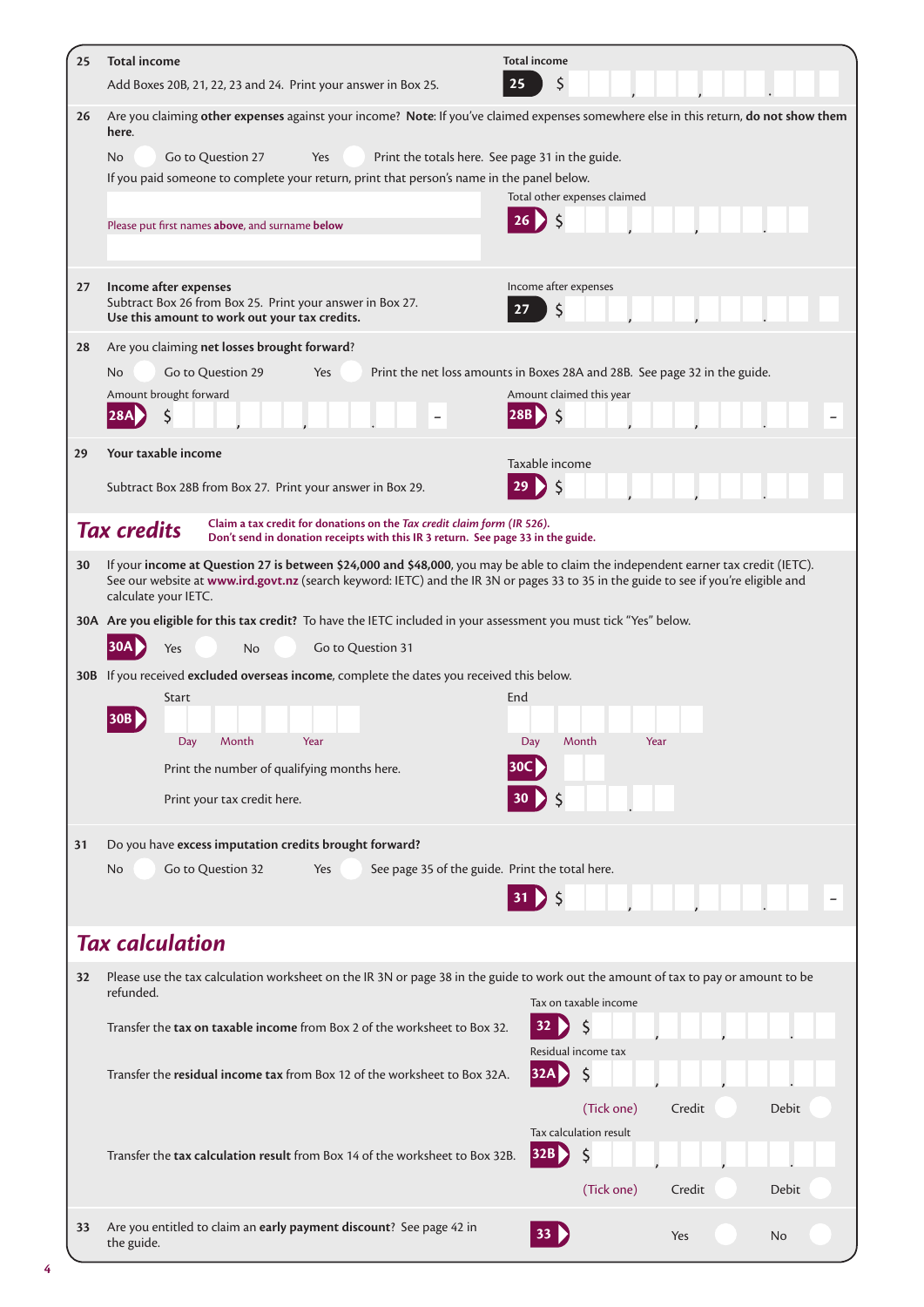| 25 | <b>Total income</b><br>Add Boxes 20B, 21, 22, 23 and 24. Print your answer in Box 25.                                                                                                                                                                                                              | <b>Total income</b><br>\$<br>25                                                  |
|----|----------------------------------------------------------------------------------------------------------------------------------------------------------------------------------------------------------------------------------------------------------------------------------------------------|----------------------------------------------------------------------------------|
| 26 | Are you claiming other expenses against your income? Note: If you've claimed expenses somewhere else in this return, do not show them<br>here.                                                                                                                                                     |                                                                                  |
|    | Go to Question 27<br>Yes<br>No.<br>If you paid someone to complete your return, print that person's name in the panel below.<br>Please put first names above, and surname below                                                                                                                    | Print the totals here. See page 31 in the guide.<br>Total other expenses claimed |
|    |                                                                                                                                                                                                                                                                                                    |                                                                                  |
| 27 | Income after expenses<br>Subtract Box 26 from Box 25. Print your answer in Box 27.<br>Use this amount to work out your tax credits.                                                                                                                                                                | Income after expenses<br>S<br>27                                                 |
| 28 | Are you claiming net losses brought forward?                                                                                                                                                                                                                                                       |                                                                                  |
|    | Go to Question 29<br>No.<br>Yes                                                                                                                                                                                                                                                                    | Print the net loss amounts in Boxes 28A and 28B. See page 32 in the guide.       |
|    | Amount brought forward                                                                                                                                                                                                                                                                             | Amount claimed this year                                                         |
| 29 | Your taxable income                                                                                                                                                                                                                                                                                | Taxable income                                                                   |
|    | Subtract Box 28B from Box 27. Print your answer in Box 29.                                                                                                                                                                                                                                         |                                                                                  |
|    | Claim a tax credit for donations on the Tax credit claim form (IR 526).<br><b>Tax credits</b><br>Don't send in donation receipts with this IR 3 return. See page 33 in the guide.                                                                                                                  |                                                                                  |
| 30 | If your income at Question 27 is between \$24,000 and \$48,000, you may be able to claim the independent earner tax credit (IETC).<br>See our website at www.ird.govt.nz (search keyword: IETC) and the IR 3N or pages 33 to 35 in the guide to see if you're eligible and<br>calculate your IETC. |                                                                                  |
|    | 30A Are you eligible for this tax credit? To have the IETC included in your assessment you must tick "Yes" below.                                                                                                                                                                                  |                                                                                  |
|    | Go to Question 31<br>Yes<br><b>No</b>                                                                                                                                                                                                                                                              |                                                                                  |
|    | 30B If you received excluded overseas income, complete the dates you received this below.                                                                                                                                                                                                          |                                                                                  |
|    | Start                                                                                                                                                                                                                                                                                              | End                                                                              |
|    | Day<br>Month<br>Year                                                                                                                                                                                                                                                                               | Day<br>Month<br>Year                                                             |
|    | Print the number of qualifying months here.                                                                                                                                                                                                                                                        | 30C.                                                                             |
|    | Print your tax credit here.                                                                                                                                                                                                                                                                        |                                                                                  |
| 31 | Do you have excess imputation credits brought forward?                                                                                                                                                                                                                                             |                                                                                  |
|    | Go to Question 32<br>No.<br>Yes                                                                                                                                                                                                                                                                    | See page 35 of the guide. Print the total here.                                  |
|    |                                                                                                                                                                                                                                                                                                    | $31$ $\frac{1}{2}$ \$                                                            |
|    | <b>Tax calculation</b>                                                                                                                                                                                                                                                                             |                                                                                  |
| 32 | Please use the tax calculation worksheet on the IR 3N or page 38 in the guide to work out the amount of tax to pay or amount to be<br>refunded.                                                                                                                                                    | Tax on taxable income                                                            |
|    | Transfer the tax on taxable income from Box 2 of the worksheet to Box 32.                                                                                                                                                                                                                          | \$<br>32                                                                         |
|    | Transfer the residual income tax from Box 12 of the worksheet to Box 32A.                                                                                                                                                                                                                          | Residual income tax<br>\$<br> 32A                                                |
|    |                                                                                                                                                                                                                                                                                                    | (Tick one)<br>Credit<br><b>Debit</b>                                             |
|    |                                                                                                                                                                                                                                                                                                    | Tax calculation result                                                           |
|    | Transfer the tax calculation result from Box 14 of the worksheet to Box 32B.                                                                                                                                                                                                                       | \$<br>32B D                                                                      |
|    |                                                                                                                                                                                                                                                                                                    | (Tick one)<br>Credit<br>Debit                                                    |
| 33 | Are you entitled to claim an early payment discount? See page 42 in<br>the guide.                                                                                                                                                                                                                  | <b>33</b><br>Yes<br>No                                                           |

**4**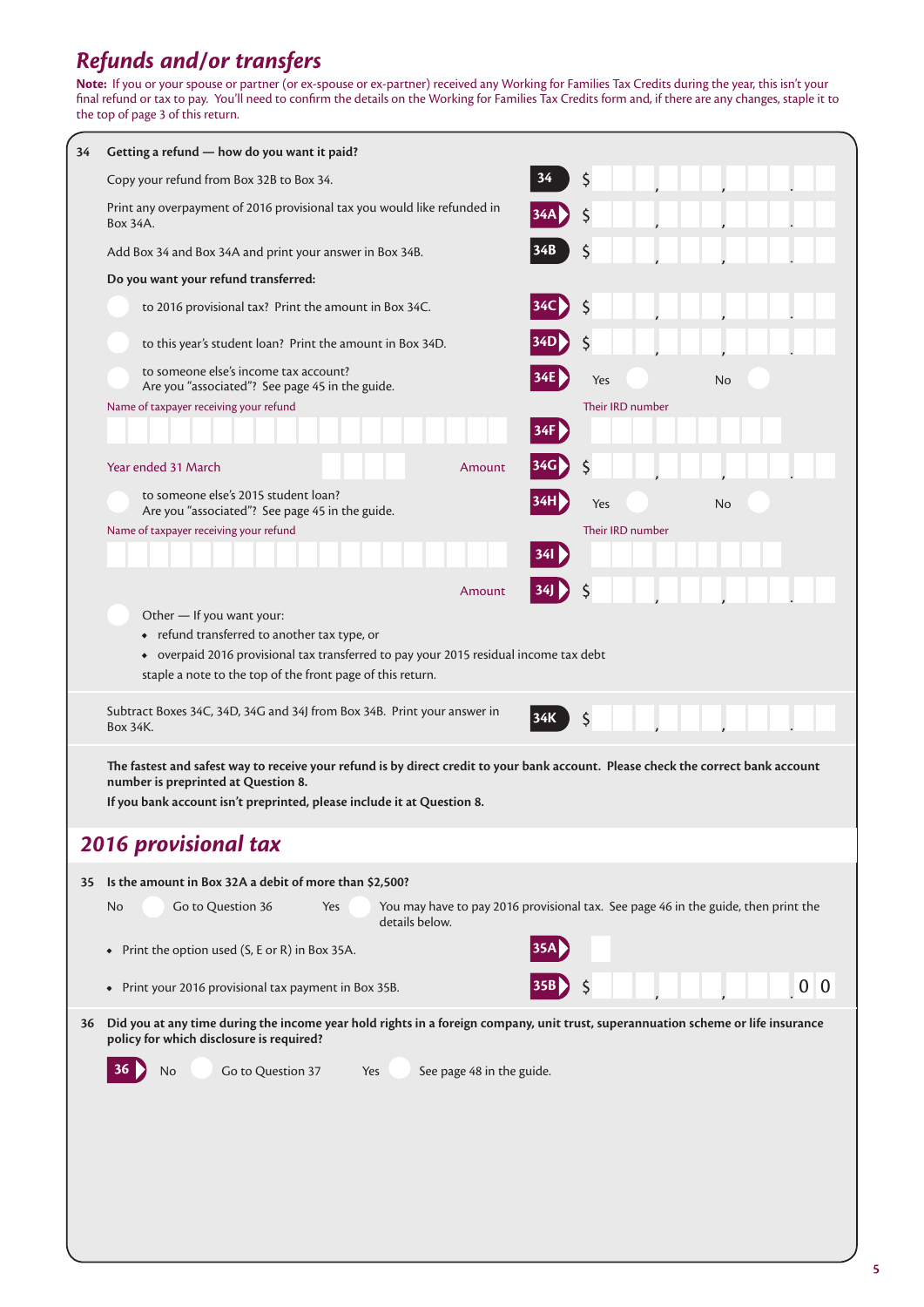## *Refunds and/or transfers*

**Note:** If you or your spouse or partner (or ex-spouse or ex-partner) received any Working for Families Tax Credits during the year, this isn't your final refund or tax to pay. You'll need to confirm the details on the Working for Families Tax Credits form and, if there are any changes, staple it to the top of page 3 of this return.

| 34 | Getting a refund - how do you want it paid?                                                                                                                                                                                                        |                                                                                    |
|----|----------------------------------------------------------------------------------------------------------------------------------------------------------------------------------------------------------------------------------------------------|------------------------------------------------------------------------------------|
|    | 34<br>Copy your refund from Box 32B to Box 34.                                                                                                                                                                                                     | \$                                                                                 |
|    | Print any overpayment of 2016 provisional tax you would like refunded in<br>Box 34A.                                                                                                                                                               | S                                                                                  |
|    | Add Box 34 and Box 34A and print your answer in Box 34B.                                                                                                                                                                                           | \$                                                                                 |
|    | Do you want your refund transferred:                                                                                                                                                                                                               |                                                                                    |
|    | to 2016 provisional tax? Print the amount in Box 34C.                                                                                                                                                                                              | \$                                                                                 |
|    | to this year's student loan? Print the amount in Box 34D.                                                                                                                                                                                          | S                                                                                  |
|    | to someone else's income tax account?<br>Are you "associated"? See page 45 in the guide.                                                                                                                                                           | Yes<br>No                                                                          |
|    | Name of taxpayer receiving your refund                                                                                                                                                                                                             | Their IRD number                                                                   |
|    | 34F                                                                                                                                                                                                                                                |                                                                                    |
|    | Year ended 31 March<br>Amount                                                                                                                                                                                                                      | S                                                                                  |
|    | to someone else's 2015 student loan?<br>Are you "associated"? See page 45 in the guide.                                                                                                                                                            | Yes<br>No                                                                          |
|    | Name of taxpayer receiving your refund                                                                                                                                                                                                             | Their IRD number                                                                   |
|    | 34I                                                                                                                                                                                                                                                |                                                                                    |
|    | Amount                                                                                                                                                                                                                                             | Ş                                                                                  |
|    | Other - If you want your:<br>• refund transferred to another tax type, or<br>• overpaid 2016 provisional tax transferred to pay your 2015 residual income tax debt<br>staple a note to the top of the front page of this return.                   |                                                                                    |
|    | Subtract Boxes 34C, 34D, 34G and 34J from Box 34B. Print your answer in<br>34K<br>Box 34K.                                                                                                                                                         | \$                                                                                 |
|    | The fastest and safest way to receive your refund is by direct credit to your bank account. Please check the correct bank account<br>number is preprinted at Question 8.<br>If you bank account isn't preprinted, please include it at Question 8. |                                                                                    |
|    | <b>2016 provisional tax</b>                                                                                                                                                                                                                        |                                                                                    |
| 35 | Is the amount in Box 32A a debit of more than \$2,500?                                                                                                                                                                                             |                                                                                    |
|    | Go to Question 36<br>No.<br>Yes<br>details below.                                                                                                                                                                                                  | You may have to pay 2016 provisional tax. See page 46 in the guide, then print the |
|    | Print the option used (S, E or R) in Box 35A.<br>$\bullet$                                                                                                                                                                                         |                                                                                    |
|    | Print your 2016 provisional tax payment in Box 35B.<br>$\bullet$                                                                                                                                                                                   | 0 <sup>0</sup>                                                                     |
| 36 | Did you at any time during the income year hold rights in a foreign company, unit trust, superannuation scheme or life insurance<br>policy for which disclosure is required?                                                                       |                                                                                    |
|    | Go to Question 37<br>See page 48 in the guide.<br>No<br>Yes                                                                                                                                                                                        |                                                                                    |
|    |                                                                                                                                                                                                                                                    |                                                                                    |
|    |                                                                                                                                                                                                                                                    |                                                                                    |
|    |                                                                                                                                                                                                                                                    |                                                                                    |
|    |                                                                                                                                                                                                                                                    |                                                                                    |
|    |                                                                                                                                                                                                                                                    |                                                                                    |